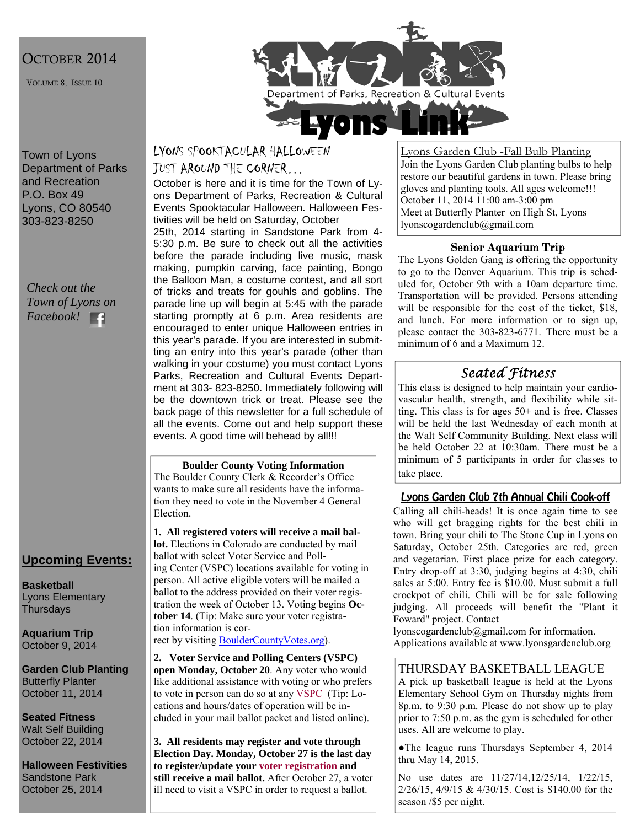### OCTOBER 2014

VOLUME 8, ISSUE 10

Town of Lyons Department of Parks and Recreation P.O. Box 49 Lyons, CO 80540 303-823-8250

*Check out the Town of Lyons on Facebook!* 

#### **Upcoming Events:**

**Basketball**  Lyons Elementary **Thursdays** 

**Aquarium Trip**  October 9, 2014

**Garden Club Planting**  Butterfly Planter October 11, 2014

**Seated Fitness**  Walt Self Building October 22, 2014

**Halloween Festivities**  Sandstone Park October 25, 2014

## LYONS SPOOKTACULAR HALLOWEEN JUST AROUND THE CORNER…

October is here and it is time for the Town of Lyons Department of Parks, Recreation & Cultural Events Spooktacular Halloween. Halloween Festivities will be held on Saturday, October

25th, 2014 starting in Sandstone Park from 4- 5:30 p.m. Be sure to check out all the activities before the parade including live music, mask making, pumpkin carving, face painting, Bongo the Balloon Man, a costume contest, and all sort of tricks and treats for gouhls and goblins. The parade line up will begin at 5:45 with the parade starting promptly at 6 p.m. Area residents are encouraged to enter unique Halloween entries in this year's parade. If you are interested in submitting an entry into this year's parade (other than walking in your costume) you must contact Lyons Parks, Recreation and Cultural Events Department at 303- 823-8250. Immediately following will be the downtown trick or treat. Please see the back page of this newsletter for a full schedule of all the events. Come out and help support these events. A good time will behead by all!!!

#### **Boulder County Voting Information**

The Boulder County Clerk & Recorder's Office wants to make sure all residents have the information they need to vote in the November 4 General Election.

**1. All registered voters will receive a mail ballot.** Elections in Colorado are conducted by mail ballot with select Voter Service and Polling Center (VSPC) locations available for voting in person. All active eligible voters will be mailed a ballot to the address provided on their voter registration the week of October 13. Voting begins **October 14**. (Tip: Make sure your voter registration information is correct by visiting BoulderCountyVotes.org).

**2. Voter Service and Polling Centers (VSPC)** 

**open Monday, October 20**. Any voter who would like additional assistance with voting or who prefers to vote in person can do so at any VSPC (Tip: Locations and hours/dates of operation will be included in your mail ballot packet and listed online).

**3. All residents may register and vote through Election Day. Monday, October 27 is the last day to register/update your voter registration and still receive a mail ballot.** After October 27, a voter ill need to visit a VSPC in order to request a ballot.

Lyons Garden Club -Fall Bulb Planting Join the Lyons Garden Club planting bulbs to help restore our beautiful gardens in town. Please bring gloves and planting tools. All ages welcome!!! October 11, 2014 11:00 am-3:00 pm Meet at Butterfly Planter on High St, Lyons lyonscogardenclub@gmail.com

#### Senior Aquarium Trip

The Lyons Golden Gang is offering the opportunity to go to the Denver Aquarium. This trip is scheduled for, October 9th with a 10am departure time. Transportation will be provided. Persons attending will be responsible for the cost of the ticket, \$18, and lunch. For more information or to sign up, please contact the 303-823-6771. There must be a minimum of 6 and a Maximum 12.

## *Seated Fitness*

This class is designed to help maintain your cardiovascular health, strength, and flexibility while sitting. This class is for ages 50+ and is free. Classes will be held the last Wednesday of each month at the Walt Self Community Building. Next class will be held October 22 at 10:30am. There must be a minimum of 5 participants in order for classes to take place.

#### Lyons Garden Club 7th Annual Chili Cook-off

Calling all chili-heads! It is once again time to see who will get bragging rights for the best chili in town. Bring your chili to The Stone Cup in Lyons on Saturday, October 25th. Categories are red, green and vegetarian. First place prize for each category. Entry drop-off at 3:30, judging begins at 4:30, chili sales at 5:00. Entry fee is \$10.00. Must submit a full crockpot of chili. Chili will be for sale following judging. All proceeds will benefit the "Plant it Foward" project. Contact

lyonscogardenclub@gmail.com for information. Applications available at www.lyonsgardenclub.org

#### THURSDAY BASKETBALL LEAGUE

A pick up basketball league is held at the Lyons Elementary School Gym on Thursday nights from 8p.m. to 9:30 p.m. Please do not show up to play prior to 7:50 p.m. as the gym is scheduled for other uses. All are welcome to play.

●The league runs Thursdays September 4, 2014 thru May 14, 2015.

No use dates are 11/27/14,12/25/14, 1/22/15, 2/26/15, 4/9/15 & 4/30/15. Cost is \$140.00 for the season /\$5 per night.